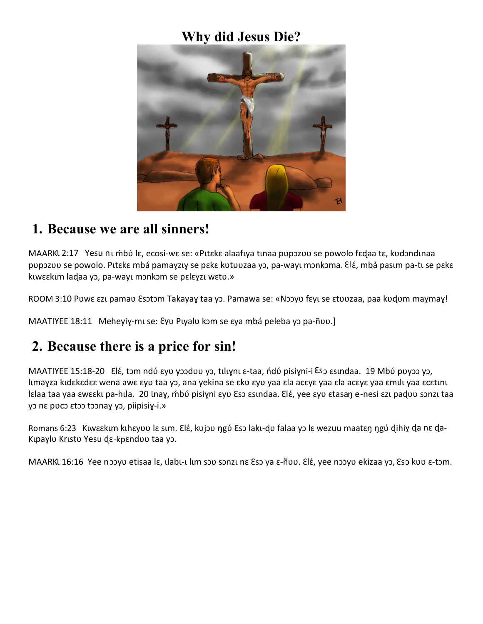### **Why did Jesus Die?**



#### **1. Because we are all sinners!**

MAARKl 2:17 Yesu nī mbo lɛ, ecosi-wɛ se: «Pitɛkɛ alaafiya tinaa pupɔzuu se powolo fɛd̥aa tɛ, kudɔndinaa pupɔzuu se powolo. Pitɛkɛ mbá pamaɣziɣ se pɛkɛ kutuuzaa yɔ, pa-wayi mɔnkɔma. ɛlɛ́, mbá pasım pa-ti se pɛkɛ kιwεεkιm ladaa yɔ, pa-wayι mɔnkɔm se pɛlɛɣzι wɛtʋ.»

ROOM 3:10 Puwɛ ɛzu pamaʋ Esɔtɔm Takayaɣ taa yɔ. Pamawa se: «Nɔɔyu fɛyu se ɛtʋʋzaa, paa kʋdum maɣmaɣ!

MAATIYEE 18:11 Meheyiγ-mι se: εγυ Pιγalυ kɔm se εγa mbá peleba γɔ pa-ñʋʋ.]

### **2. Because there is a price for sin!**

MAATIYEE 15:18-20 Elέ, tɔm ndύ εγυ γɔɔdʋʋ yɔ, tılıɣnı ε-taa, ndύ pisiɣni-i ε͡sɔ ɛsındaa. 19 Mbύ pʋyɔɔ yɔ, lımayza kıdɛkɛdɛɛ wena awɛ ɛyʋ taa yɔ, ana yekina se ɛkʋ ɛyʋ yaa ɛla acɛyɛ yaa ɛla acɛyɛ yaa ɛmılı yaa ɛcɛtını lɛlaa taa yaa ɛwɛɛku pa-hula. 20 lnaɣ, mbo pisiɣni ɛyʊ Esɔ ɛsundaa. Elɛ́, yee ɛyʊ ɛtasaŋ e-nesi ɛzu padʊʊ sɔnzu taa yɔ nɛ pʋcɔ ɛtɔɔ tɔɔnaɣ yɔ, piipisiɣ-i.»

Romans 6:23 Kιwεεkιm kιhεγυυ lε sιm. Elέ, kυjoυ ηgύ Eso lakι-dυ falaa yo lε wezuu maatεη ηgύ dihiy da nε da-Kıpaylu Krıstu Yesu de-kpenduu taa yo.

MAARKL 16:16 Yee nooyo etisaa lɛ, ılabı-ı lım sou sonzı nɛ Eso ya ɛ-ñou. Elé, yee nooyo ekizaa yo, Eso kuu ɛ-tɔm.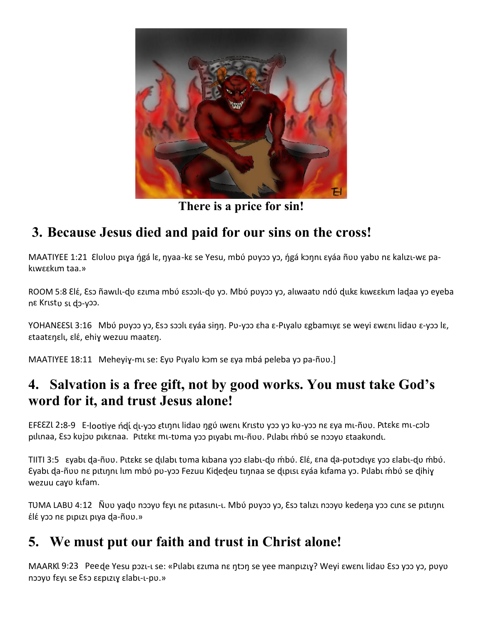

**There is a price for sin!**

## **3. Because Jesus died and paid for our sins on the cross!**

MAATIYEE 1:21 Eluluu pıya ήgá lɛ, ŋyaa-kɛ se Yesu, mbú puyɔɔ yɔ, ήgá kɔŋnı ɛyáa ñuu yabu nɛ kalızı-wɛ pakιwεεkιm taa.»

ROOM 5:8 ɛlɛ́, ɛsɔ ñawılı-dʊ ɛzıma mbʊ́ ɛsɔɔlı-dʊ yɔ. Mbʊ́ pʊyɔɔ yɔ, alıwaatʊ ndʊ́ dukɛ kɪwɛɛkım ladaa yɔ eyeba nɛ Krɩstʋ sɩ ɖɔ-yɔɔ.

YOHANEESL 3:16 Mbύ puyoo yo, Eso soolι εγάa siŋŋ. Pu-yoo εha ε-Pιyalu εgbamιyε se weyi εwεnι lidau ε-yoo lε, ɛtaatɛŋɛlɩ, ɛlɛ́, ehiɣ wezuu maatɛŋ.

MAATIYEE 18:11 Meheyiy-mu se: Eyu Puyalu kom se aya mbá peleba yo pa-ñuu.]

### **4. Salvation is a free gift, not by good works. You must take God's word for it, and trust Jesus alone!**

EFεελί 2:8-9 E-lootiye ndί dι-yɔɔ εtιηnι lidau ηgύ ιwεnι Krιstu yɔɔ yɔ ku-yɔɔ nε εya mι-ñυυ. Pltεkε mι-cɔlɔ pılınaa, Esɔ kʋjɔʋ pıkɛnaa. Pıtɛkɛ mı-tʋma yɔɔ pıyabı mı-ñʋʋ. Pılabı mbó se nɔɔyʋ ɛtaakʋndı.

TIITI 3:5 ɛyabɩ ɖa-ñʋʋ. Pɩtɛkɛ se ɖɩlabɩ tʋma kɩbana yɔɔ ɛlabɩ-ɖʋ ḿbʋ́. Ɛlɛ́, ɛna ɖa-pʋtɔdɩyɛ yɔɔ ɛlabɩ-ɖʋ ḿbʋ́. Eyabι da-ñυυ nε pιtιηnι lιm mbύ pυ-yɔɔ Fezuu Kidedeu tιηnaa se dιpιsι εyáa kıfama yɔ. Pılabı ḿbύ se dihiy wezuu cayo kıfam.

TUMA LABU 4:12 Ñvu yaḍu nɔɔyu fɛyi nɛ pitasini-i. Mbʊ́ puyɔɔ yɔ, ɛ̃sɔ talizi nɔɔyu kedena yɔɔ cinɛ se pitinni ɛ́lɛ́ yɔɔ nɛ pɩpɩzɩ pɩya ɖa-ñʋʋ.»

# **5. We must put our faith and trust in Christ alone!**

MAARKl 9:23 Pee de Yesu pɔzι-ι se: «Pılabı εzıma nɛ ŋtɔŋ se yee manpızıɣ? Weyi ɛwɛnı lidaʋ ɛsɔ yɔɔ yɔ, pʋyʊ nɔɔyʋ fɛyɩ se Ɛsɔ ɛɛpɩzɩɣ ɛlabɩ-ɩ-pʋ.»